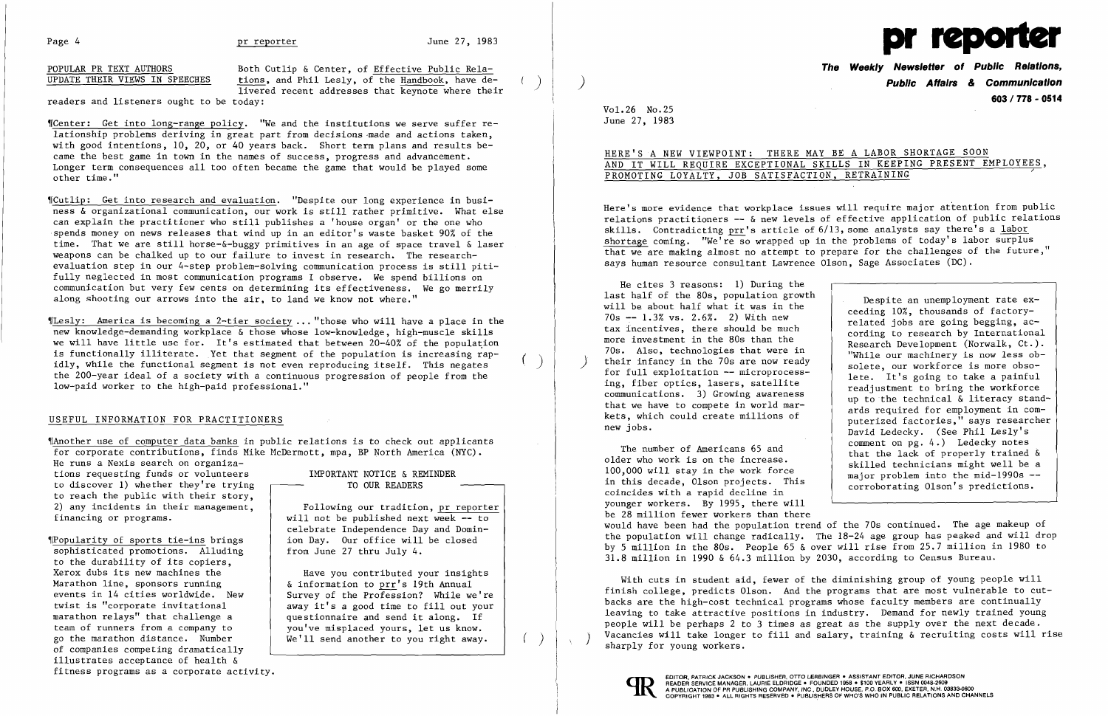POPULAR PR TEXT AUTHORS<br>
UPDATE THEIR VIEWS IN SPEECHES tions, and Phil Lesly, of the Handbook, have detions, and Phil Lesly, of the Handbook, have delivered recent addresses that keynote where their

readers and listeners ought to be today:

Wenter: Get into long-range policy. "We and the institutions we serve suffer relationship problems deriving in great part from decisions made and actions taken, with good intentions, 10, 20, or 40 years back. Short term plans and results became the best game in town in the names of success, progress and advancement. Longer term consequences all too often became the game that would be played some other time."

,rCutlip: Get into research and evaluation. "Despite our long experience in business & organizational communication, our work is still rather primitive. What else can explain the practitioner who still publishes a 'house organ' or the one who spends money on news releases that wind up in an editor's waste basket 90% of the time. That we are still horse-&-buggy primitives in an age of space travel & laser weapons can be chalked up to our failure to invest in research. The researchevaluation step in our 4-step problem-solving communication process is still pitifully neglected in most communication programs I observe. We spend billions on communication but very few cents on determining its effectiveness. We go merrily along shooting our arrows into the air, to land we know not where."

 $\P$ Popularity of sports tie-ins brings in a Day. Our office will be closed sophisticated promotions. Alluding to the durability of its copiers, Xerox dubs its new machines the Marathon line, sponsors running events in 14 cities worldwide. New<br>twist is "corporate invitational team of runners from a company to go the marathon distance. Number of companies competing dramatically illustrates acceptance of health & fitness programs as a corporate activity.

# TO OUR READERS

'fLesly: America is becoming a 2-tier society ... "those who will have a place in the new knowledge-demanding workplace & those whose low-knowledge, high-muscle skills we will have little use for. It's estimated that between  $20-40%$  of the population is functionally illiterate. Yet that segment of the population is increasing rapidly, while the functional segment is not even reproducing itself. This negates the 200-year ideal of a society with a continuous progression of people from the low-paid worker to the high-paid professional."

# HERE'S A NEW VIEWPOINT: THERE MAY BE A LABOR SHORTAGE SOON PROMOTING LOYALTY, JOB SATISFACTION, RETRAINING

### USEFUL INFORMATION FOR PRACTITIONERS

He cites 3 reasons: 1) During the last half of the 80s, population growth<br>
will be about half what it was in the ceeding 10%, thousands of factory-<br>
70s -- 1.3% vs. 2.6%. 2) With new related jobs are going begging, ac-The tax incentives, there should be much<br>more investment in the 80s than the<br>Research Development (Norwalk, Ct.). more investment in the 80s than the<br>
70s. Also, technologies that were in<br>
their infancy in the 70s are now ready<br>
for full exploitation -- microprocess-<br>
ing, fiber optics, lasers, satellite<br>
communications. 3) Growing aw

'IAnother use of computer data banks in public relations is to check out applicants for corporate contributions, finds Mike McDermott, mpa, BP North America (NYC).

He runs a Nexis search on organizations requesting funds or volunteers IMPORTANT NOTICE & REMINDER to discover 1) whether they're trying to reach the public with their story, 2) any incidents in their management, financing or programs. will not be published next week -- to

 Following our tradition, pr reporter celebrate Independence Day and Domin from June 27 thru July 4.

The number of Americans 65 and<br>
older who work is on the increase.<br>
100,000 will stay in the work force<br>
in this decade, Olson projects. This<br>
coincides with a rapid decline in<br>
this decade, alson projects. This<br>
corrobora younger workers. By 1995, there will be 28 million fewer workers than there would have been had the population trend of the 70s continued. The age makeup of the population will change radically. The 18-24 age group has peaked and will drop by 5 million in the 80s. People 65  $\&$  over will rise from 25.7 million in 1980 to 31.8 million in 1990 & 64.3 million by 2030, according to Census Bureau.

With cuts in student aid, fewer of the diminishing group of young people will finish college, predicts Olson. And the programs that are most vulnerable to cutbacks are the high-cost technical programs whose faculty members are continually leaving to take attractive positions in industry. Demand for newly trained young people will be perhaps 2 to 3 times as great as the supply over the next decade. Vacancies will take longer to fill and salary, training & recruiting costs will rise sharply for young workers.



 Have you contributed your insights & information to prr's 19th Annual Survey of the Profession? While we're twist is "corporate invitational away it's a good time to fill out your<br>marathon relays" that challenge a figure is a questionnaire and send it along. If questionnaire and send it along. If you've misplaced yours, let us know. We'll send another to you right away.

)

 $\left( \begin{array}{c} \end{array} \right)$ 

 $($   $)$ 



**The Weekly Newsletter of Public Relations,**  ) **Public Affairs & Communication 603/778 - 0514** 

Vol. 26 No. 25 June 27, 1983

AND IT WILL REQUIRE EXCEPTIONAL SKILLS IN KEEPING PRESENT EMPLOYEES,

kets, which could create millions of<br>new jobs.<br>David Ledecky. (See Phil Lesly's<br>comment on pg. 4.) Ledecky notes

Here's more evidence that workplace issues will require major attention from public relations practitioners -- & new levels of effective application of public relations skills. Contradicting  $\text{pr}$ 's article of  $6/13$ , some analysts say there's a labor shortage coming. "We're so wrapped up in the problems of today's labor surplus that we are making almost no attempt to prepare for the challenges of the future," says human resource consultant Lawrence Olson, Sage Associates (DC).